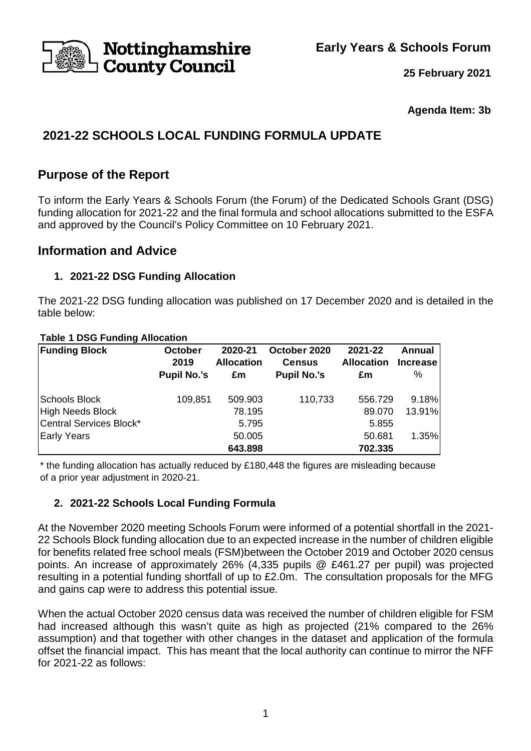**Early Years & Schools Forum** 



**25 February 2021**

**Agenda Item: 3b** 

# **2021-22 SCHOOLS LOCAL FUNDING FORMULA UPDATE**

# **Purpose of the Report**

To inform the Early Years & Schools Forum (the Forum) of the Dedicated Schools Grant (DSG) funding allocation for 2021-22 and the final formula and school allocations submitted to the ESFA and approved by the Council's Policy Committee on 10 February 2021.

## **Information and Advice**

## **1. 2021-22 DSG Funding Allocation**

The 2021-22 DSG funding allocation was published on 17 December 2020 and is detailed in the table below:

### **Table 1 DSG Funding Allocation**

| <b>Funding Block</b>    | October<br>2019    | 2020-21<br><b>Allocation</b> | October 2020<br><b>Census</b> | 2021-22<br><b>Allocation</b> | Annual<br><b>Increase</b> |
|-------------------------|--------------------|------------------------------|-------------------------------|------------------------------|---------------------------|
|                         | <b>Pupil No.'s</b> | £m                           | <b>Pupil No.'s</b>            | £m                           | %                         |
| Schools Block           | 109,851            | 509.903                      | 110,733                       | 556.729                      | 9.18%                     |
| High Needs Block        |                    | 78.195                       |                               | 89.070                       | 13.91%                    |
| Central Services Block* |                    | 5.795                        |                               | 5.855                        |                           |
| Early Years             |                    | 50.005                       |                               | 50.681                       | 1.35%                     |
|                         |                    | 643.898                      |                               | 702.335                      |                           |

\* the funding allocation has actually reduced by £180,448 the figures are misleading because of a prior year adjustment in 2020-21.

## **2. 2021-22 Schools Local Funding Formula**

At the November 2020 meeting Schools Forum were informed of a potential shortfall in the 2021- 22 Schools Block funding allocation due to an expected increase in the number of children eligible for benefits related free school meals (FSM)between the October 2019 and October 2020 census points. An increase of approximately 26% (4,335 pupils @ £461.27 per pupil) was projected resulting in a potential funding shortfall of up to £2.0m. The consultation proposals for the MFG and gains cap were to address this potential issue.

When the actual October 2020 census data was received the number of children eligible for FSM had increased although this wasn't quite as high as projected (21% compared to the 26% assumption) and that together with other changes in the dataset and application of the formula offset the financial impact. This has meant that the local authority can continue to mirror the NFF for 2021-22 as follows: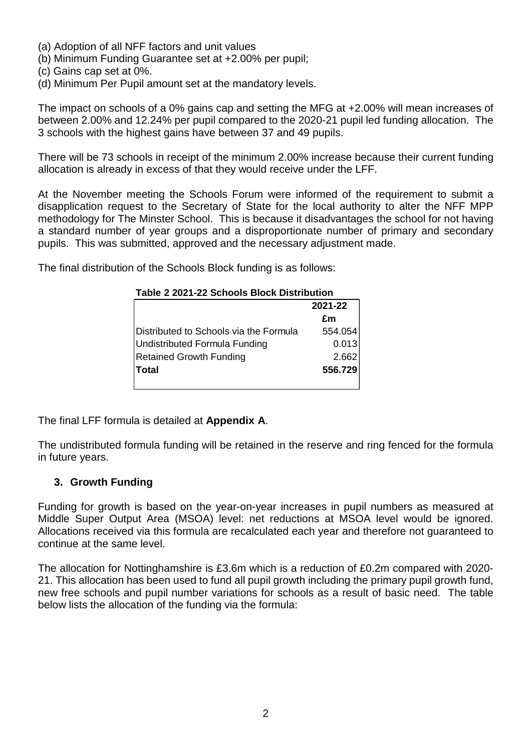- (a) Adoption of all NFF factors and unit values
- (b) Minimum Funding Guarantee set at +2.00% per pupil;
- (c) Gains cap set at 0%.
- (d) Minimum Per Pupil amount set at the mandatory levels.

The impact on schools of a 0% gains cap and setting the MFG at +2.00% will mean increases of between 2.00% and 12.24% per pupil compared to the 2020-21 pupil led funding allocation. The 3 schools with the highest gains have between 37 and 49 pupils.

There will be 73 schools in receipt of the minimum 2.00% increase because their current funding allocation is already in excess of that they would receive under the LFF.

At the November meeting the Schools Forum were informed of the requirement to submit a disapplication request to the Secretary of State for the local authority to alter the NFF MPP methodology for The Minster School. This is because it disadvantages the school for not having a standard number of year groups and a disproportionate number of primary and secondary pupils. This was submitted, approved and the necessary adjustment made.

The final distribution of the Schools Block funding is as follows:

| TADIE Z ZUZT-ZZ SCHOOIS DIOCK DISTINGUOT |         |  |  |  |
|------------------------------------------|---------|--|--|--|
|                                          | 2021-22 |  |  |  |
|                                          | £m      |  |  |  |
| Distributed to Schools via the Formula   | 554.054 |  |  |  |
| Undistributed Formula Funding            | 0.013   |  |  |  |
| <b>Retained Growth Funding</b>           | 2.662   |  |  |  |
| <b>Total</b>                             | 556.729 |  |  |  |
|                                          |         |  |  |  |

#### **Table 2 2021-22 Schools Block Distribution**

The final LFF formula is detailed at **Appendix A**.

The undistributed formula funding will be retained in the reserve and ring fenced for the formula in future years.

### **3. Growth Funding**

Funding for growth is based on the year-on-year increases in pupil numbers as measured at Middle Super Output Area (MSOA) level: net reductions at MSOA level would be ignored. Allocations received via this formula are recalculated each year and therefore not guaranteed to continue at the same level.

The allocation for Nottinghamshire is £3.6m which is a reduction of £0.2m compared with 2020- 21. This allocation has been used to fund all pupil growth including the primary pupil growth fund, new free schools and pupil number variations for schools as a result of basic need. The table below lists the allocation of the funding via the formula: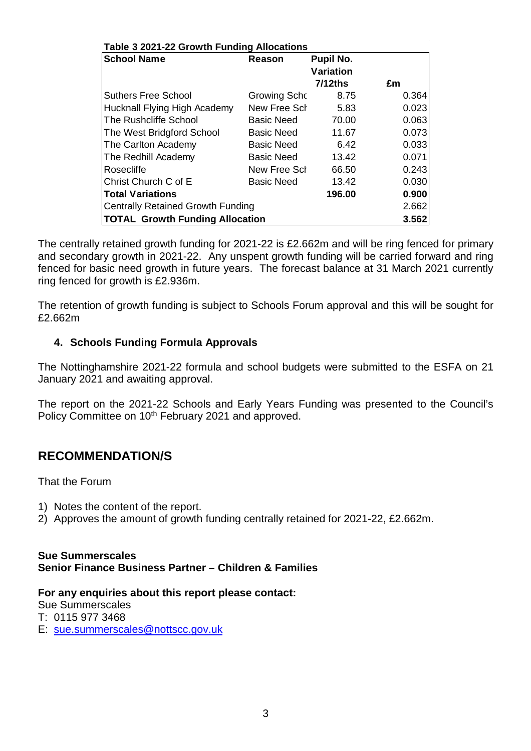| Table 3 2021-22 Growth Funding Allocations |                   |                               |       |  |  |  |  |
|--------------------------------------------|-------------------|-------------------------------|-------|--|--|--|--|
| <b>School Name</b>                         | Reason            | Pupil No.<br><b>Variation</b> |       |  |  |  |  |
|                                            |                   | $7/12$ ths                    | £m    |  |  |  |  |
| <b>Suthers Free School</b>                 | Growing Scho      | 8.75                          | 0.364 |  |  |  |  |
| Hucknall Flying High Academy               | New Free Sch      | 5.83                          | 0.023 |  |  |  |  |
| The Rushcliffe School                      | <b>Basic Need</b> | 70.00                         | 0.063 |  |  |  |  |
| The West Bridgford School                  | <b>Basic Need</b> | 11.67                         | 0.073 |  |  |  |  |
| The Carlton Academy                        | <b>Basic Need</b> | 6.42                          | 0.033 |  |  |  |  |
| The Redhill Academy                        | <b>Basic Need</b> | 13.42                         | 0.071 |  |  |  |  |
| Rosecliffe                                 | New Free Sch      | 66.50                         | 0.243 |  |  |  |  |
| Christ Church C of E                       | <b>Basic Need</b> | 13.42                         | 0.030 |  |  |  |  |
| <b>Total Variations</b>                    |                   | 196.00                        | 0.900 |  |  |  |  |
| <b>Centrally Retained Growth Funding</b>   |                   |                               | 2.662 |  |  |  |  |
| <b>TOTAL Growth Funding Allocation</b>     |                   |                               |       |  |  |  |  |

The centrally retained growth funding for 2021-22 is £2.662m and will be ring fenced for primary and secondary growth in 2021-22. Any unspent growth funding will be carried forward and ring fenced for basic need growth in future years. The forecast balance at 31 March 2021 currently ring fenced for growth is £2.936m.

The retention of growth funding is subject to Schools Forum approval and this will be sought for £2.662m

## **4. Schools Funding Formula Approvals**

The Nottinghamshire 2021-22 formula and school budgets were submitted to the ESFA on 21 January 2021 and awaiting approval.

The report on the 2021-22 Schools and Early Years Funding was presented to the Council's Policy Committee on 10<sup>th</sup> February 2021 and approved.

# **RECOMMENDATION/S**

That the Forum

- 1) Notes the content of the report.
- 2) Approves the amount of growth funding centrally retained for 2021-22, £2.662m.

#### **Sue Summerscales Senior Finance Business Partner – Children & Families**

### **For any enquiries about this report please contact:**

Sue Summerscales

T: 0115 977 3468

E: sue.summerscales@nottscc.gov.uk